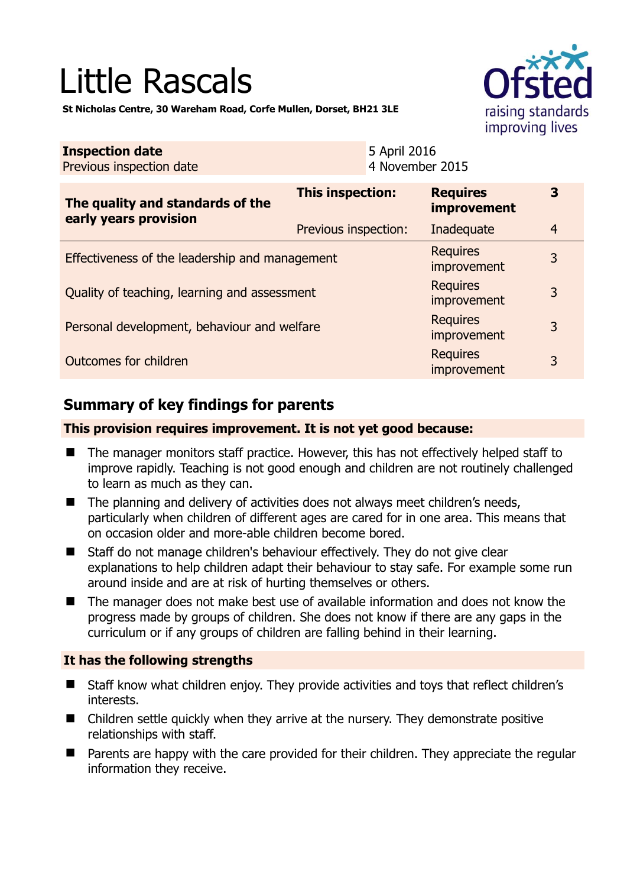# Little Rascals



**St Nicholas Centre, 30 Wareham Road, Corfe Mullen, Dorset, BH21 3LE** 

| <b>Inspection date</b><br>Previous inspection date        | 5 April 2016<br>4 November 2015 |                                |                |
|-----------------------------------------------------------|---------------------------------|--------------------------------|----------------|
| The quality and standards of the<br>early years provision | This inspection:                | <b>Requires</b><br>improvement | 3              |
|                                                           | Previous inspection:            | Inadequate                     | $\overline{4}$ |
| Effectiveness of the leadership and management            |                                 | <b>Requires</b><br>improvement | 3              |
| Quality of teaching, learning and assessment              |                                 | <b>Requires</b><br>improvement | 3              |
| Personal development, behaviour and welfare               |                                 | <b>Requires</b><br>improvement | 3              |
| <b>Requires</b><br>Outcomes for children<br>improvement   |                                 |                                | 3              |

# **Summary of key findings for parents**

## **This provision requires improvement. It is not yet good because:**

- The manager monitors staff practice. However, this has not effectively helped staff to improve rapidly. Teaching is not good enough and children are not routinely challenged to learn as much as they can.
- The planning and delivery of activities does not always meet children's needs, particularly when children of different ages are cared for in one area. This means that on occasion older and more-able children become bored.
- Staff do not manage children's behaviour effectively. They do not give clear explanations to help children adapt their behaviour to stay safe. For example some run around inside and are at risk of hurting themselves or others.
- The manager does not make best use of available information and does not know the progress made by groups of children. She does not know if there are any gaps in the curriculum or if any groups of children are falling behind in their learning.

## **It has the following strengths**

- Staff know what children enjoy. They provide activities and toys that reflect children's interests.
- Children settle quickly when they arrive at the nursery. They demonstrate positive relationships with staff.
- **Parents are happy with the care provided for their children. They appreciate the regular** information they receive.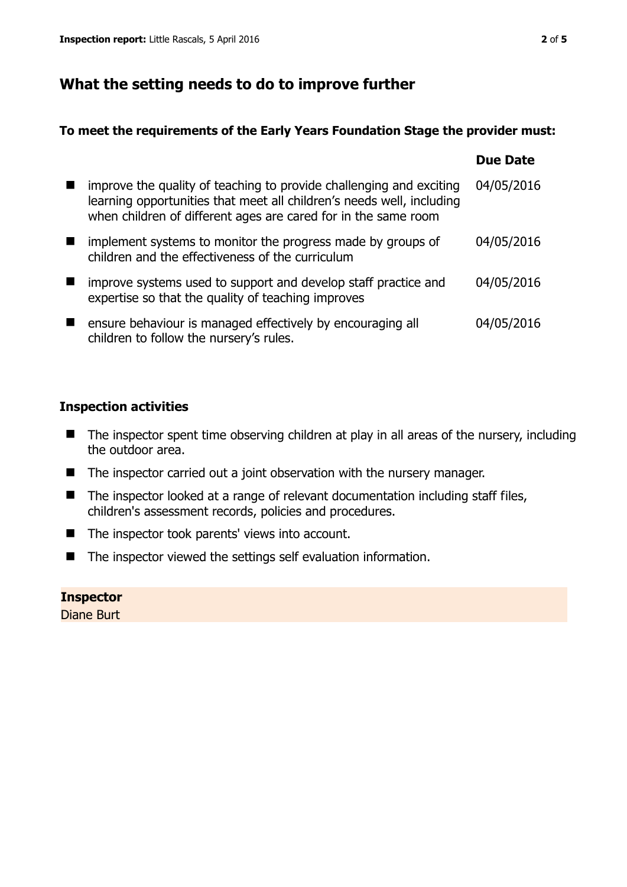# **What the setting needs to do to improve further**

## **To meet the requirements of the Early Years Foundation Stage the provider must:**

|                                                                                                                                                                                                                | <b>Due Date</b> |
|----------------------------------------------------------------------------------------------------------------------------------------------------------------------------------------------------------------|-----------------|
| improve the quality of teaching to provide challenging and exciting<br>learning opportunities that meet all children's needs well, including<br>when children of different ages are cared for in the same room | 04/05/2016      |
| implement systems to monitor the progress made by groups of<br>children and the effectiveness of the curriculum                                                                                                | 04/05/2016      |
| improve systems used to support and develop staff practice and<br>expertise so that the quality of teaching improves                                                                                           | 04/05/2016      |
| ensure behaviour is managed effectively by encouraging all<br>children to follow the nursery's rules.                                                                                                          | 04/05/2016      |

## **Inspection activities**

- The inspector spent time observing children at play in all areas of the nursery, including the outdoor area.
- The inspector carried out a joint observation with the nursery manager.
- The inspector looked at a range of relevant documentation including staff files, children's assessment records, policies and procedures.
- The inspector took parents' views into account.
- The inspector viewed the settings self evaluation information.

## **Inspector**

Diane Burt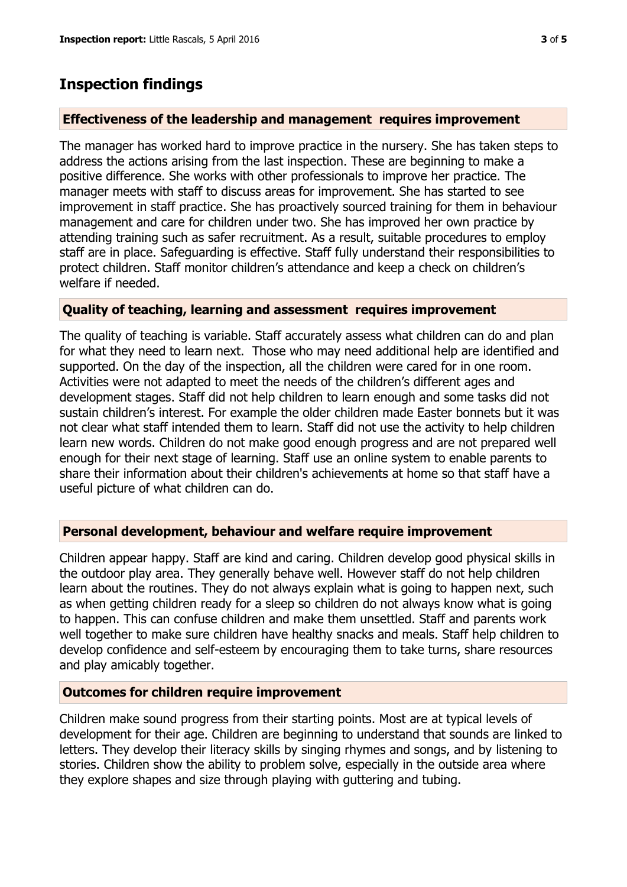## **Inspection findings**

#### **Effectiveness of the leadership and management requires improvement**

The manager has worked hard to improve practice in the nursery. She has taken steps to address the actions arising from the last inspection. These are beginning to make a positive difference. She works with other professionals to improve her practice. The manager meets with staff to discuss areas for improvement. She has started to see improvement in staff practice. She has proactively sourced training for them in behaviour management and care for children under two. She has improved her own practice by attending training such as safer recruitment. As a result, suitable procedures to employ staff are in place. Safeguarding is effective. Staff fully understand their responsibilities to protect children. Staff monitor children's attendance and keep a check on children's welfare if needed.

#### **Quality of teaching, learning and assessment requires improvement**

The quality of teaching is variable. Staff accurately assess what children can do and plan for what they need to learn next. Those who may need additional help are identified and supported. On the day of the inspection, all the children were cared for in one room. Activities were not adapted to meet the needs of the children's different ages and development stages. Staff did not help children to learn enough and some tasks did not sustain children's interest. For example the older children made Easter bonnets but it was not clear what staff intended them to learn. Staff did not use the activity to help children learn new words. Children do not make good enough progress and are not prepared well enough for their next stage of learning. Staff use an online system to enable parents to share their information about their children's achievements at home so that staff have a useful picture of what children can do.

#### **Personal development, behaviour and welfare require improvement**

Children appear happy. Staff are kind and caring. Children develop good physical skills in the outdoor play area. They generally behave well. However staff do not help children learn about the routines. They do not always explain what is going to happen next, such as when getting children ready for a sleep so children do not always know what is going to happen. This can confuse children and make them unsettled. Staff and parents work well together to make sure children have healthy snacks and meals. Staff help children to develop confidence and self-esteem by encouraging them to take turns, share resources and play amicably together.

#### **Outcomes for children require improvement**

Children make sound progress from their starting points. Most are at typical levels of development for their age. Children are beginning to understand that sounds are linked to letters. They develop their literacy skills by singing rhymes and songs, and by listening to stories. Children show the ability to problem solve, especially in the outside area where they explore shapes and size through playing with guttering and tubing.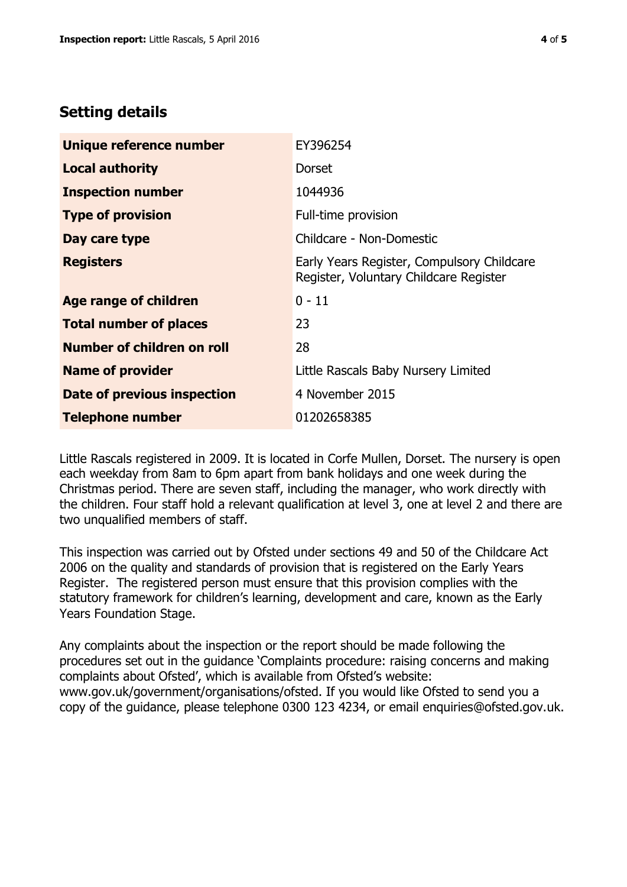# **Setting details**

| Unique reference number       | EY396254                                                                             |
|-------------------------------|--------------------------------------------------------------------------------------|
| <b>Local authority</b>        | Dorset                                                                               |
| <b>Inspection number</b>      | 1044936                                                                              |
| <b>Type of provision</b>      | Full-time provision                                                                  |
| Day care type                 | Childcare - Non-Domestic                                                             |
| <b>Registers</b>              | Early Years Register, Compulsory Childcare<br>Register, Voluntary Childcare Register |
| <b>Age range of children</b>  | $0 - 11$                                                                             |
| <b>Total number of places</b> | 23                                                                                   |
| Number of children on roll    | 28                                                                                   |
| <b>Name of provider</b>       | Little Rascals Baby Nursery Limited                                                  |
| Date of previous inspection   | 4 November 2015                                                                      |
| <b>Telephone number</b>       | 01202658385                                                                          |

Little Rascals registered in 2009. It is located in Corfe Mullen, Dorset. The nursery is open each weekday from 8am to 6pm apart from bank holidays and one week during the Christmas period. There are seven staff, including the manager, who work directly with the children. Four staff hold a relevant qualification at level 3, one at level 2 and there are two unqualified members of staff.

This inspection was carried out by Ofsted under sections 49 and 50 of the Childcare Act 2006 on the quality and standards of provision that is registered on the Early Years Register. The registered person must ensure that this provision complies with the statutory framework for children's learning, development and care, known as the Early Years Foundation Stage.

Any complaints about the inspection or the report should be made following the procedures set out in the guidance 'Complaints procedure: raising concerns and making complaints about Ofsted', which is available from Ofsted's website: www.gov.uk/government/organisations/ofsted. If you would like Ofsted to send you a copy of the guidance, please telephone 0300 123 4234, or email enquiries@ofsted.gov.uk.